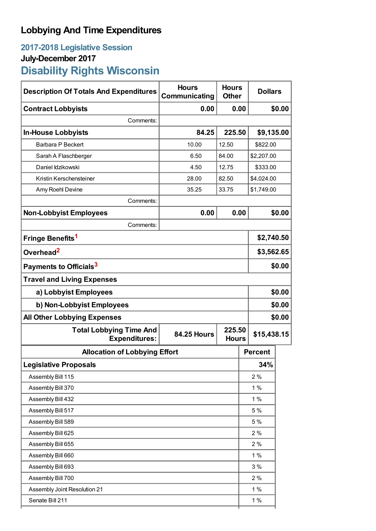## **Lobbying And Time Expenditures**

## **2017-2018 Legislative Session July-December 2017 Disability Rights Wisconsin**

| <b>Description Of Totals And Expenditures</b>          | <b>Hours</b><br>Communicating | <b>Hours</b><br><b>Dollars</b><br><b>Other</b> |                |            |  |
|--------------------------------------------------------|-------------------------------|------------------------------------------------|----------------|------------|--|
| <b>Contract Lobbyists</b>                              | 0.00                          | 0.00                                           |                | \$0.00     |  |
| Comments:                                              |                               |                                                |                |            |  |
| <b>In-House Lobbyists</b>                              | 84.25                         | 225.50                                         |                | \$9,135.00 |  |
| Barbara P Beckert                                      | 10.00                         | 12.50                                          | \$822.00       |            |  |
| Sarah A Flaschberger                                   | 6.50                          | 84.00                                          |                | \$2,207.00 |  |
| Daniel Idzikowski                                      | 4.50                          | 12.75                                          |                | \$333.00   |  |
| Kristin Kerschensteiner                                | 28.00                         | 82.50                                          |                | \$4,024.00 |  |
| Amy Roehl Devine                                       | 35.25                         | 33.75                                          |                | \$1,749.00 |  |
| Comments:                                              |                               |                                                |                |            |  |
| <b>Non-Lobbyist Employees</b>                          | 0.00                          | 0.00                                           |                | \$0.00     |  |
| Comments:                                              |                               |                                                |                |            |  |
| Fringe Benefits <sup>1</sup>                           |                               |                                                |                | \$2,740.50 |  |
| Overhead <sup>2</sup>                                  |                               |                                                |                | \$3,562.65 |  |
| Payments to Officials <sup>3</sup>                     |                               |                                                |                | \$0.00     |  |
| <b>Travel and Living Expenses</b>                      |                               |                                                |                |            |  |
| a) Lobbyist Employees                                  |                               |                                                |                | \$0.00     |  |
| b) Non-Lobbyist Employees                              |                               |                                                |                | \$0.00     |  |
| <b>All Other Lobbying Expenses</b>                     |                               |                                                |                | \$0.00     |  |
| <b>Total Lobbying Time And</b><br><b>Expenditures:</b> | <b>84.25 Hours</b>            | 225.50<br>\$15,438.15<br><b>Hours</b>          |                |            |  |
| <b>Allocation of Lobbying Effort</b>                   |                               |                                                | <b>Percent</b> |            |  |
| <b>Legislative Proposals</b>                           |                               |                                                | 34%            |            |  |
| Assembly Bill 115                                      |                               |                                                |                | 2%         |  |
| Assembly Bill 370                                      |                               |                                                |                | 1%         |  |
| Assembly Bill 432                                      |                               |                                                | 1%             |            |  |
| Assembly Bill 517                                      |                               |                                                | 5 %            |            |  |
| Assembly Bill 589                                      |                               |                                                | 5 %            |            |  |
| Assembly Bill 625                                      |                               |                                                | 2%             |            |  |
| Assembly Bill 655                                      |                               |                                                | 2%             |            |  |
| Assembly Bill 660                                      |                               |                                                | 1%             |            |  |
| Assembly Bill 693                                      |                               |                                                | 3%             |            |  |
| Assembly Bill 700                                      |                               |                                                | 2%             |            |  |
| Assembly Joint Resolution 21                           |                               |                                                | 1%             |            |  |
| Senate Bill 211                                        |                               |                                                | 1%             |            |  |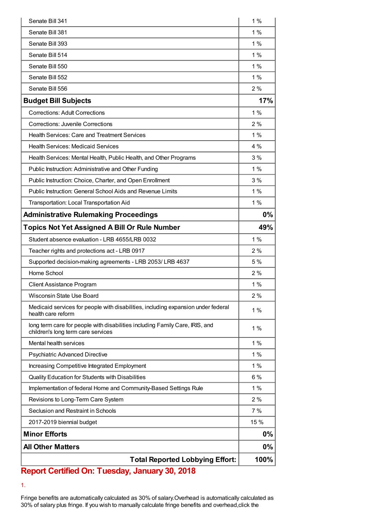| Senate Bill 341                                                                                                    | 1%    |
|--------------------------------------------------------------------------------------------------------------------|-------|
| Senate Bill 381                                                                                                    | 1 %   |
| Senate Bill 393                                                                                                    | 1%    |
| Senate Bill 514                                                                                                    | 1%    |
| Senate Bill 550                                                                                                    | 1%    |
| Senate Bill 552                                                                                                    | 1%    |
| Senate Bill 556                                                                                                    | 2%    |
| <b>Budget Bill Subjects</b>                                                                                        | 17%   |
| <b>Corrections: Adult Corrections</b>                                                                              | 1%    |
| Corrections: Juvenile Corrections                                                                                  | 2%    |
| <b>Health Services: Care and Treatment Services</b>                                                                | 1%    |
| <b>Health Services: Medicaid Services</b>                                                                          | $4\%$ |
| Health Services: Mental Health, Public Health, and Other Programs                                                  | 3%    |
| Public Instruction: Administrative and Other Funding                                                               | 1%    |
| Public Instruction: Choice, Charter, and Open Enrollment                                                           | 3%    |
| Public Instruction: General School Aids and Revenue Limits                                                         | 1%    |
| Transportation: Local Transportation Aid                                                                           | 1%    |
| <b>Administrative Rulemaking Proceedings</b>                                                                       | 0%    |
| <b>Topics Not Yet Assigned A Bill Or Rule Number</b>                                                               | 49%   |
| Student absence evaluation - LRB 4655/LRB 0032                                                                     | 1%    |
| Teacher rights and protections act - LRB 0917                                                                      | 2%    |
| Supported decision-making agreements - LRB 2053/ LRB 4637                                                          | 5 %   |
| Home School                                                                                                        | 2%    |
| Client Assistance Program                                                                                          | 1%    |
| Wisconsin State Use Board                                                                                          | 2%    |
| Medicaid services for people with disabilities, including expansion under federal<br>health care reform            | 1%    |
| long term care for people with disabilities including Family Care, IRIS, and<br>children's long term care services | $1\%$ |
| Mental health services                                                                                             | 1%    |
| Psychiatric Advanced Directive                                                                                     | 1%    |
| Increasing Competitive Integrated Employment                                                                       | 1%    |
| Quality Education for Students with Disabilities                                                                   | 6%    |
| Implementation of federal Home and Community-Based Settings Rule                                                   | 1%    |
| Revisions to Long-Term Care System                                                                                 | 2%    |
| Seclusion and Restraint in Schools                                                                                 | 7%    |
| 2017-2019 biennial budget                                                                                          | 15 %  |
| <b>Minor Efforts</b>                                                                                               | 0%    |
| <b>All Other Matters</b>                                                                                           | 0%    |
| <b>Total Reported Lobbying Effort:</b>                                                                             | 100%  |

## **Report Certified On: Tuesday, January 30, 2018**

1.

Fringe benefits are automatically calculated as 30% of salary.Overhead is automatically calculated as 30% of salary plus fringe. If you wish to manually calculate fringe benefits and overhead,click the